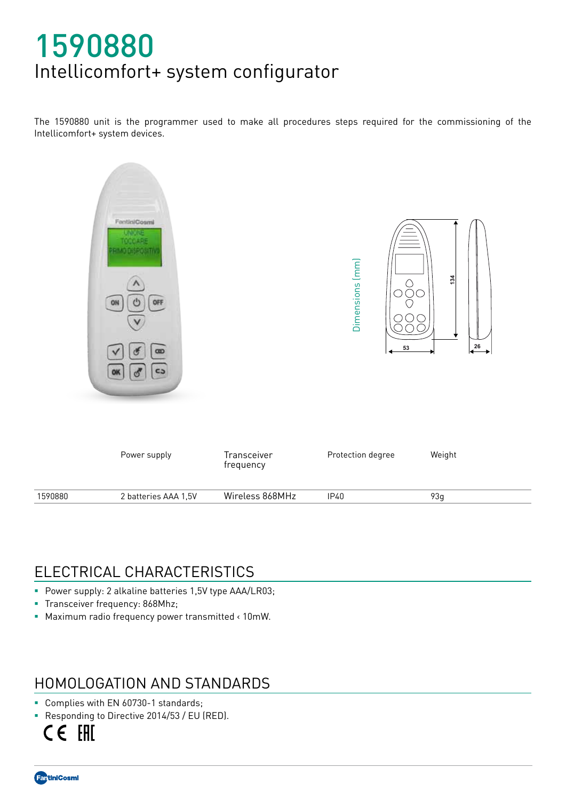# 1590880 Intellicomfort+ system configurator

The 1590880 unit is the programmer used to make all procedures steps required for the commissioning of the Intellicomfort+ system devices.



## ELECTRICAL CHARACTERISTICS

- **Power supply: 2 alkaline batteries 1,5V type AAA/LR03;**
- **Transceiver frequency: 868Mhz;**
- Maximum radio frequency power transmitted < 10mW.

#### HOMOLOGATION AND STANDARDS

- Complies with EN 60730-1 standards;
- Responding to Directive 2014/53 / EU (RED).

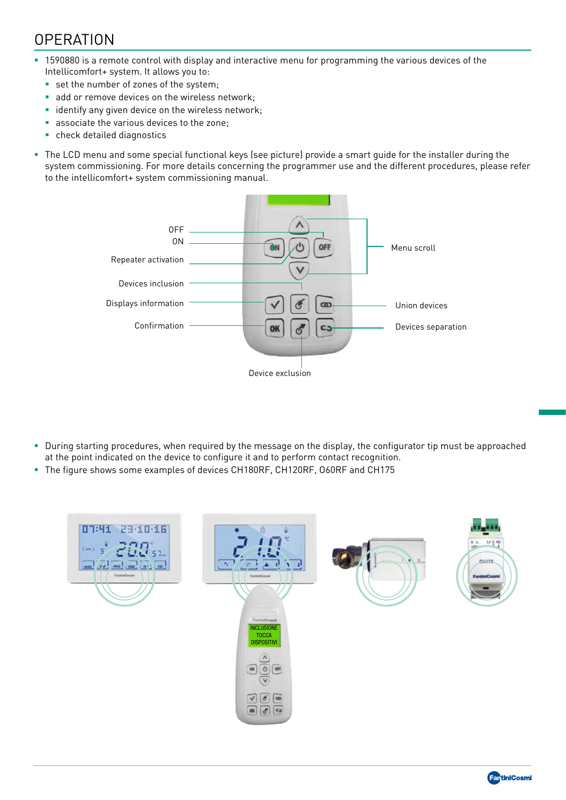## **OPERATION**

- 1590880 is a remote control with display and interactive menu for programming the various devices of the Intellicomfort+ system. It allows you to:
	- set the number of zones of the system;
	- add or remove devices on the wireless network;
	- **Example 1** identify any given device on the wireless network;
	- associate the various devices to the zone;
	- check detailed diagnostics
- The LCD menu and some special functional keys (see picture) provide a smart guide for the installer during the system commissioning. For more details concerning the programmer use and the different procedures, please refer to the intellicomfort+ system commissioning manual.



- During starting procedures, when required by the message on the display, the configurator tip must be approached at the point indicated on the device to configure it and to perform contact recognition.
- The figure shows some examples of devices CH180RF, CH120RF, O60RF and CH175